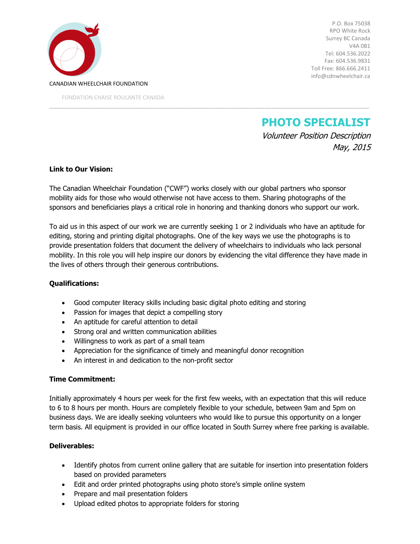

P.O. Box 75038 RPO White Rock Surrey BC Canada V4A 0B1 Tel: 604.536.2022 Fax: 604.536.9831 Toll Free: 866.666.2411 info@cdnwheelchair.ca

**PHOTO SPECIALIST**

Volunteer Position Description May, 2015

## **Link to Our Vision:**

The Canadian Wheelchair Foundation ("CWF") works closely with our global partners who sponsor mobility aids for those who would otherwise not have access to them. Sharing photographs of the sponsors and beneficiaries plays a critical role in honoring and thanking donors who support our work.

\_\_\_\_\_\_\_\_\_\_\_\_\_\_\_\_\_\_\_\_\_\_\_\_\_\_\_\_\_\_\_\_\_\_\_\_\_\_\_\_\_\_\_\_\_\_\_\_\_\_\_\_\_\_\_\_\_\_\_\_\_\_\_\_\_\_\_\_\_\_\_\_\_\_\_\_\_\_\_\_\_\_\_\_\_\_\_\_\_\_\_\_\_\_\_\_\_\_\_\_\_\_\_\_

To aid us in this aspect of our work we are currently seeking 1 or 2 individuals who have an aptitude for editing, storing and printing digital photographs. One of the key ways we use the photographs is to provide presentation folders that document the delivery of wheelchairs to individuals who lack personal mobility. In this role you will help inspire our donors by evidencing the vital difference they have made in the lives of others through their generous contributions.

## **Qualifications:**

- Good computer literacy skills including basic digital photo editing and storing
- Passion for images that depict a compelling story
- An aptitude for careful attention to detail
- Strong oral and written communication abilities
- Willingness to work as part of a small team
- Appreciation for the significance of timely and meaningful donor recognition
- An interest in and dedication to the non-profit sector

## **Time Commitment:**

Initially approximately 4 hours per week for the first few weeks, with an expectation that this will reduce to 6 to 8 hours per month. Hours are completely flexible to your schedule, between 9am and 5pm on business days. We are ideally seeking volunteers who would like to pursue this opportunity on a longer term basis. All equipment is provided in our office located in South Surrey where free parking is available.

## **Deliverables:**

- Identify photos from current online gallery that are suitable for insertion into presentation folders based on provided parameters
- Edit and order printed photographs using photo store's simple online system
- Prepare and mail presentation folders
- Upload edited photos to appropriate folders for storing